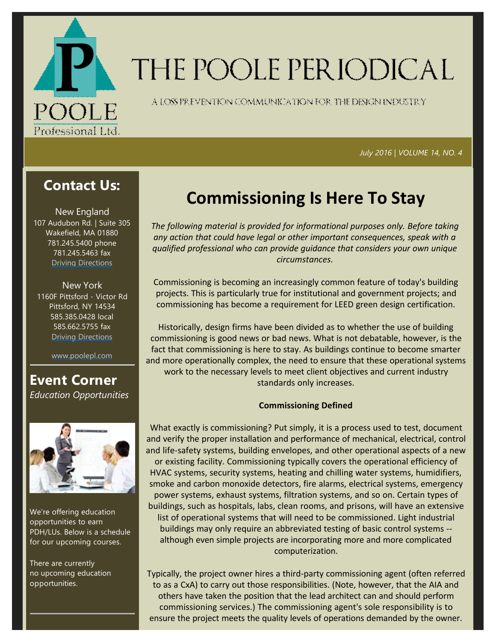

# THE POOLE PERIODICAL

A LOSS FREVENTION COMMUNICATION FOR THE DENGNINDUSTRY

 *July 2016 | VOLUME 14, NO. 4*

### **Contact Us:**

New England 107 Audubon Rd. | Suite 305 Wakefield, MA 01880 781.245.5400 phone 781.245.5463 fax Driving Directions

New York 1160F Pittsford ‐ Victor Rd Pittsford, NY 14534 585.385.0428 local 585.662.5755 fax Driving Directions

www.poolepl.com

### **Event Corner** *Education Opportunities*



We're offering education opportunities to earn PDH/LUs. Below is a schedule for our upcoming courses.

There are currently no upcoming education opportunities.

## **Commissioning Is Here To Stay**

*The following material is provided for informational purposes only. Before taking any action that could have legal or other important consequences, speak with a qualified professional who can provide guidance that considers your own unique circumstances.*

Commissioning is becoming an increasingly common feature of today's building projects. This is particularly true for institutional and government projects; and commissioning has become a requirement for LEED green design certification.

Historically, design firms have been divided as to whether the use of building commissioning is good news or bad news. What is not debatable, however, is the fact that commissioning is here to stay. As buildings continue to become smarter and more operationally complex, the need to ensure that these operational systems work to the necessary levels to meet client objectives and current industry standards only increases.

#### **Commissioning Defined**

What exactly is commissioning? Put simply, it is a process used to test, document and verify the proper installation and performance of mechanical, electrical, control and life-safety systems, building envelopes, and other operational aspects of a new or existing facility. Commissioning typically covers the operational efficiency of HVAC systems, security systems, heating and chilling water systems, humidifiers, smoke and carbon monoxide detectors, fire alarms, electrical systems, emergency power systems, exhaust systems, filtration systems, and so on. Certain types of buildings, such as hospitals, labs, clean rooms, and prisons, will have an extensive list of operational systems that will need to be commissioned. Light industrial buildings may only require an abbreviated testing of basic control systems ‐‐ although even simple projects are incorporating more and more complicated computerization.

Typically, the project owner hires a third‐party commissioning agent (often referred to as a CxA) to carry out those responsibilities. (Note, however, that the AIA and others have taken the position that the lead architect can and should perform commissioning services.) The commissioning agent's sole responsibility is to ensure the project meets the quality levels of operations demanded by the owner.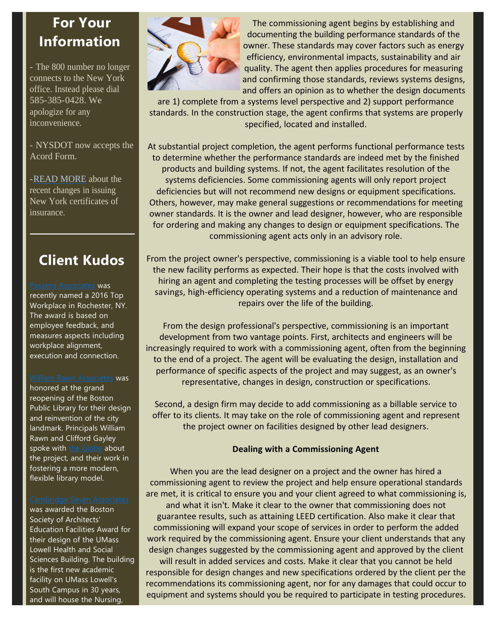### **For Your Information**

- The 800 number no longer connects to the New York office. Instead please dial 585-385-0428. We apologize for any inconvenience.

- NYSDOT now accepts the Acord Form.

-READ MORE about the recent changes in issuing New York certificates of insurance.

### **Client Kudos**

#### Passero Associates was recently named a 2016 Top Workplace in Rochester, NY. The award is based on employee feedback, and measures aspects including workplace alignment, execution and connection.

#### William Rawn Associates was

honored at the grand reopening of the Boston Public Library for their design and reinvention of the city landmark. Principals William Rawn and Clifford Gayley spoke with the Globe about the project, and their work in fostering a more modern, flexible library model.

was awarded the Boston Society of Architects' Education Facilities Award for their design of the UMass Lowell Health and Social Sciences Building. The building is the first new academic facility on UMass Lowell's South Campus in 30 years, and will house the Nursing,



The commissioning agent begins by establishing and documenting the building performance standards of the owner. These standards may cover factors such as energy efficiency, environmental impacts, sustainability and air quality. The agent then applies procedures for measuring and confirming those standards, reviews systems designs, and offers an opinion as to whether the design documents

are 1) complete from a systems level perspective and 2) support performance standards. In the construction stage, the agent confirms that systems are properly specified, located and installed.

At substantial project completion, the agent performs functional performance tests to determine whether the performance standards are indeed met by the finished products and building systems. If not, the agent facilitates resolution of the systems deficiencies. Some commissioning agents will only report project deficiencies but will not recommend new designs or equipment specifications. Others, however, may make general suggestions or recommendations for meeting owner standards. It is the owner and lead designer, however, who are responsible for ordering and making any changes to design or equipment specifications. The commissioning agent acts only in an advisory role.

From the project owner's perspective, commissioning is a viable tool to help ensure the new facility performs as expected. Their hope is that the costs involved with hiring an agent and completing the testing processes will be offset by energy savings, high‐efficiency operating systems and a reduction of maintenance and repairs over the life of the building.

From the design professional's perspective, commissioning is an important development from two vantage points. First, architects and engineers will be increasingly required to work with a commissioning agent, often from the beginning to the end of a project. The agent will be evaluating the design, installation and performance of specific aspects of the project and may suggest, as an owner's representative, changes in design, construction or specifications.

Second, a design firm may decide to add commissioning as a billable service to offer to its clients. It may take on the role of commissioning agent and represent the project owner on facilities designed by other lead designers.

#### **Dealing with a Commissioning Agent**

When you are the lead designer on a project and the owner has hired a commissioning agent to review the project and help ensure operational standards are met, it is critical to ensure you and your client agreed to what commissioning is, and what it isn't. Make it clear to the owner that commissioning does not guarantee results, such as attaining LEED certification. Also make it clear that commissioning will expand your scope of services in order to perform the added work required by the commissioning agent. Ensure your client understands that any design changes suggested by the commissioning agent and approved by the client will result in added services and costs. Make it clear that you cannot be held responsible for design changes and new specifications ordered by the client per the

recommendations its commissioning agent, nor for any damages that could occur to equipment and systems should you be required to participate in testing procedures.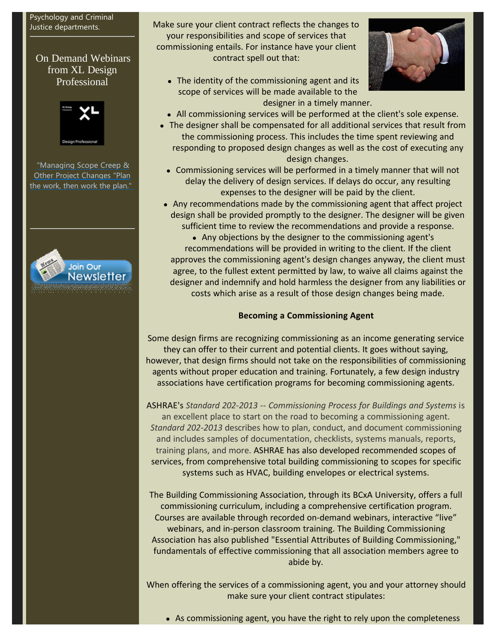#### Psychology and Criminal Justice departments.

#### On Demand Webinars from XL Design Professional



"Managing Scope Creep & Other Project Changes "Plan the work, then work the plan."



Make sure your client contract reflects the changes to your responsibilities and scope of services that commissioning entails. For instance have your client contract spell out that:

 $\bullet$  The identity of the commissioning agent and its scope of services will be made available to the designer in a timely manner.



- All commissioning services will be performed at the client's sole expense.
- The designer shall be compensated for all additional services that result from the commissioning process. This includes the time spent reviewing and responding to proposed design changes as well as the cost of executing any design changes.
- Commissioning services will be performed in a timely manner that will not delay the delivery of design services. If delays do occur, any resulting expenses to the designer will be paid by the client.
- Any recommendations made by the commissioning agent that affect project design shall be provided promptly to the designer. The designer will be given sufficient time to review the recommendations and provide a response.

• Any objections by the designer to the commissioning agent's recommendations will be provided in writing to the client. If the client approves the commissioning agent's design changes anyway, the client must agree, to the fullest extent permitted by law, to waive all claims against the designer and indemnify and hold harmless the designer from any liabilities or costs which arise as a result of those design changes being made.

#### **Becoming a Commissioning Agent**

Some design firms are recognizing commissioning as an income generating service they can offer to their current and potential clients. It goes without saying, however, that design firms should not take on the responsibilities of commissioning agents without proper education and training. Fortunately, a few design industry associations have certification programs for becoming commissioning agents.

ASHRAE's *Standard 202‐2013 ‐‐ Commissioning Process for Buildings and Systems* is an excellent place to start on the road to becoming a commissioning agent. *Standard 202‐2013* describes how to plan, conduct, and document commissioning and includes samples of documentation, checklists, systems manuals, reports, training plans, and more. ASHRAE has also developed recommended scopes of services, from comprehensive total building commissioning to scopes for specific systems such as HVAC, building envelopes or electrical systems.

The Building Commissioning Association, through its BCxA University, offers a full commissioning curriculum, including a comprehensive certification program. Courses are available through recorded on‐demand webinars, interactive "live" webinars, and in‐person classroom training. The Building Commissioning Association has also published "Essential Attributes of Building Commissioning," fundamentals of effective commissioning that all association members agree to abide by.

When offering the services of a commissioning agent, you and your attorney should make sure your client contract stipulates: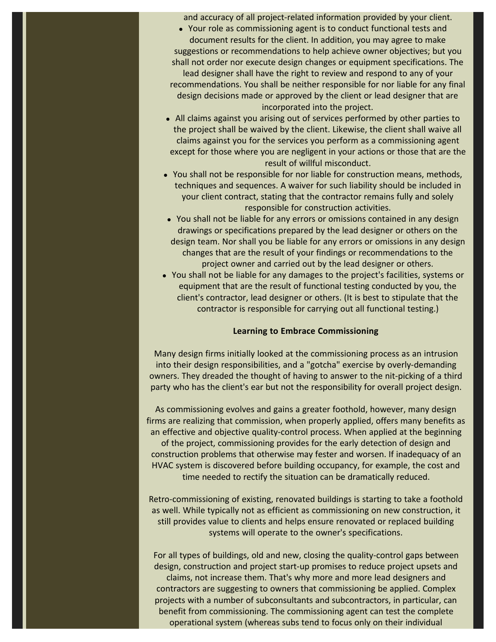and accuracy of all project‐related information provided by your client.

• Your role as commissioning agent is to conduct functional tests and document results for the client. In addition, you may agree to make suggestions or recommendations to help achieve owner objectives; but you shall not order nor execute design changes or equipment specifications. The

lead designer shall have the right to review and respond to any of your recommendations. You shall be neither responsible for nor liable for any final design decisions made or approved by the client or lead designer that are incorporated into the project.

- All claims against you arising out of services performed by other parties to the project shall be waived by the client. Likewise, the client shall waive all claims against you for the services you perform as a commissioning agent except for those where you are negligent in your actions or those that are the result of willful misconduct.
- You shall not be responsible for nor liable for construction means, methods, techniques and sequences. A waiver for such liability should be included in your client contract, stating that the contractor remains fully and solely responsible for construction activities.
- You shall not be liable for any errors or omissions contained in any design drawings or specifications prepared by the lead designer or others on the design team. Nor shall you be liable for any errors or omissions in any design changes that are the result of your findings or recommendations to the project owner and carried out by the lead designer or others.
- You shall not be liable for any damages to the project's facilities, systems or equipment that are the result of functional testing conducted by you, the client's contractor, lead designer or others. (It is best to stipulate that the contractor is responsible for carrying out all functional testing.)

#### **Learning to Embrace Commissioning**

Many design firms initially looked at the commissioning process as an intrusion into their design responsibilities, and a "gotcha" exercise by overly‐demanding owners. They dreaded the thought of having to answer to the nit‐picking of a third party who has the client's ear but not the responsibility for overall project design.

As commissioning evolves and gains a greater foothold, however, many design firms are realizing that commission, when properly applied, offers many benefits as an effective and objective quality-control process. When applied at the beginning of the project, commissioning provides for the early detection of design and construction problems that otherwise may fester and worsen. If inadequacy of an HVAC system is discovered before building occupancy, for example, the cost and time needed to rectify the situation can be dramatically reduced.

Retro‐commissioning of existing, renovated buildings is starting to take a foothold as well. While typically not as efficient as commissioning on new construction, it still provides value to clients and helps ensure renovated or replaced building systems will operate to the owner's specifications.

For all types of buildings, old and new, closing the quality-control gaps between design, construction and project start‐up promises to reduce project upsets and claims, not increase them. That's why more and more lead designers and

contractors are suggesting to owners that commissioning be applied. Complex projects with a number of subconsultants and subcontractors, in particular, can benefit from commissioning. The commissioning agent can test the complete operational system (whereas subs tend to focus only on their individual